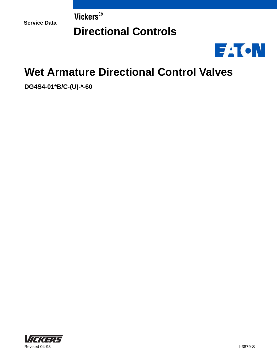**Service Data**

**Vickers®**

# **Directional Controls**



# **Wet Armature Directional Control Valves**

**DG4S4-01\*B/C-(U)-\*-60**

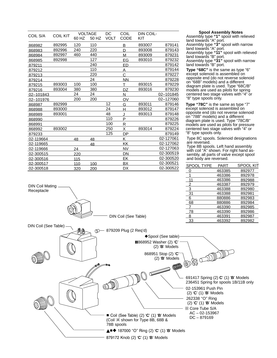| COIL S/A  | <b>COIL KIT</b> | 60 HZ | <b>VOLTAGE</b><br>50 HZ | DC<br><b>VOLT</b> | COIL<br><b>CODE</b> | DIN COIL-<br>KIT |           |
|-----------|-----------------|-------|-------------------------|-------------------|---------------------|------------------|-----------|
| 868982    | 892995          | 120   | 110                     |                   | B                   | 893007           | 879141    |
| 868983    | 892996          | 240   | 220                     |                   | D                   | 893008           | 879143    |
| 868984    | 892997          | 460   | 440                     |                   | M                   | 893009           | 879231    |
| 868985    | 892998          |       | 127                     |                   | EG                  | 893010           | 879232    |
| 879211    |                 |       | 240                     |                   | ED                  |                  | 879142    |
| 879212    |                 |       | 110                     |                   | $\overline{A}$      |                  | 879144    |
| 879213    |                 |       | 220                     |                   | $\overline{C}$      |                  | 879227    |
| 879214    |                 |       | 24                      |                   | <b>NN</b>           |                  | 879228    |
| 879215    | 893003          | 100   | 100                     |                   | т                   | 893015           | 879229    |
| 879216    | 893004          | 380   | 380                     |                   | DZ                  | 893016           | 879230    |
| 02-101843 |                 | 24    | 24                      |                   | N                   |                  | 02-101845 |
| 02-101976 |                 | 200   | 200                     |                   | OV                  |                  | 02-127060 |
| 868987    | 892999          |       |                         | 12                | G                   | 893011           | 879146    |
| 868988    | 893000          |       |                         | 24                | H                   | 893012           | 879147    |
| 868989    | 893001          |       |                         | 48                | J                   | 893013           | 879148    |
| 868990    |                 |       |                         | 110               | P                   |                  | 879226    |
| 868991    |                 |       |                         | 100               | R                   |                  | 879225    |
| 868992    | 893002          |       |                         | 250               | Χ                   | 893014           | 879224    |
| 879233    |                 |       |                         | 125               | <b>DP</b>           |                  | 879149    |
| 02-119664 |                 | 48    | 48                      |                   | K                   |                  | 02-127061 |
| 02-119665 |                 |       | 48                      |                   | KK                  |                  | 02-127062 |
| 02-119666 |                 | 24    |                         |                   | <b>NV</b>           |                  | 02-127063 |
| 02-300515 |                 | 220   |                         |                   | DN                  |                  | 02-300519 |
| 02-300516 |                 | 115   |                         |                   | ЕK                  |                  | 02-300520 |
| 02-300517 |                 | 110   | 100                     |                   | BX                  |                  | 02-300521 |
| 02-300518 |                 | 320   | 200                     |                   | DX                  |                  | 02-300522 |

DIN Coil Mating Receptacle



Assembly type **"1"** spool with relieved land towards "A" port. Assembly type **"3"** spool with narrow land towards "A" port. Assembly type **"11"** spool with relieved land towards "B" port.

Assembly type **"31"** spool with narrow land towards "B" port.

**Type "68C"** is the same as type "6" except solenoid is assembled on opposite end (do not reverse solenoid on "68B" models) and a different diagram plate is used. Type "68C/B" models are used as pilots for spring centered two stage valves with "4" or "8" type spools only.

**Type "78C"** is the same as type "7" except solenoid is assembled on opposite end (do not reverse solenoid on "78B" models) and a different diagram plate is used. Type "78C/B" models are used as pilots for pressure centered two stage valves with "4" or "8" type spools only.

Type 8C spools. Solenoid designations are reversed.

Type 8B spools. Left hand assembly with coil "A" shown. For right hand assembly, all parts of valve except spool and body are reversed.

| <b>SPOOL TYPE</b> | PART   | SPOOL KIT |
|-------------------|--------|-----------|
| 0                 | 463385 | 892977    |
|                   | 463386 | 892978    |
| 11                | 463386 | 892988    |
| 2                 | 463387 | 892979    |
| 3                 | 463388 | 892980    |
| 31                | 463388 | 892981    |
| 6                 | 880886 | 892983    |
| 68                | 880886 | 892984    |
|                   | 463390 | 892985    |
| 78                | 463390 | 892986    |
| 8                 | 463391 | 892987    |
| 33                | 463392 | 892982    |



DIN Coil (See Table)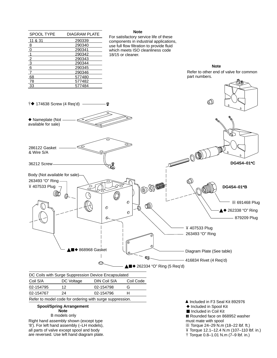| SPOOL TYPE                  | <b>DIAGRAM PLATE</b> |
|-----------------------------|----------------------|
| 11 & 31                     | 290339               |
| 8                           | 290340               |
| $\overline{0}$              | 290341               |
| $\overline{1}$              | 290342               |
|                             | 290343               |
|                             | 290344               |
| $\frac{2}{3}$ $\frac{3}{6}$ | 290345               |
| $\overline{7}$              | 290346               |
| 68                          | 577480               |
| 78                          | 577482               |
| 33                          | 577484               |

#### **Note**

For satisfactory service life of these components in industrial applications, use full flow filtration to provide fluid which meets ISO cleanliness code 18/15 or cleaner.

> **Note** Refer to other end of valve for common part numbers.



| Coil S/A  | DC Voltage | DIN Coil S/A                                            | Coil Code |
|-----------|------------|---------------------------------------------------------|-----------|
| 02-154795 | 12         | 02-154798                                               |           |
| 02-154767 | 24         | 02-154796                                               |           |
|           |            | Defer to model eads for ardering with ourse suppression |           |

### Refer to model code for ordering with surge suppression.

### **Spool/Spring Arrangement Note** B models only

Right hand assembly shown (except type '8'). For left hand assembly (–LH models), all parts of valve except spool and body are reversed. Use left hand diagram plate. ▲ Included in F3 Seal Kit 892976

- ◆ Included in Spool Kit
- Included in Coil Kit

**Rounded face on 868952 washer** must mate with spool

- **BB Torque 24–29 N.m (18–22 lbf. ft.)**
- Torque 12.1–12.4 N.m (107–110 lbf. in.)
- $\dagger$  Torque 0.8–1.01 N.m (7–9 lbf. in.)